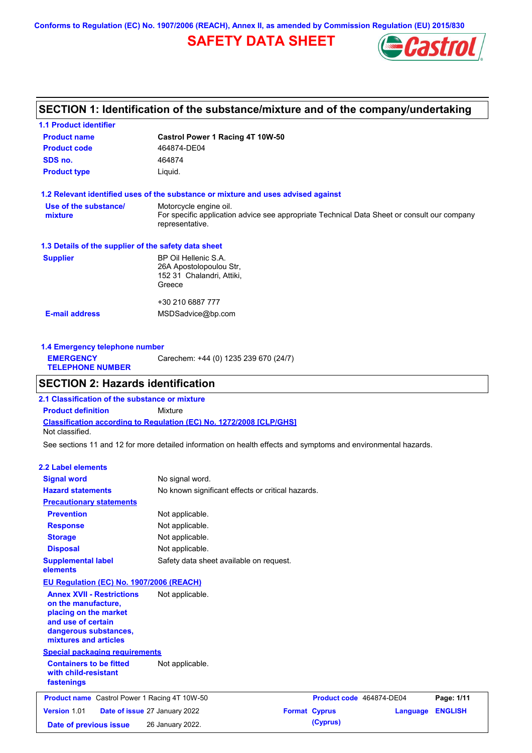**Conforms to Regulation (EC) No. 1907/2006 (REACH), Annex II, as amended by Commission Regulation (EU) 2015/830**

# **SAFETY DATA SHEET**



## **SECTION 1: Identification of the substance/mixture and of the company/undertaking**

| <b>1.1 Product identifier</b>                        |                                                                                                                |
|------------------------------------------------------|----------------------------------------------------------------------------------------------------------------|
| <b>Product name</b>                                  | Castrol Power 1 Racing 4T 10W-50                                                                               |
| <b>Product code</b>                                  | 464874-DE04                                                                                                    |
| SDS no.                                              | 464874                                                                                                         |
| <b>Product type</b>                                  | Liquid.                                                                                                        |
|                                                      | 1.2 Relevant identified uses of the substance or mixture and uses advised against                              |
| Use of the substance/                                | Motorcycle engine oil.                                                                                         |
| mixture                                              | For specific application advice see appropriate Technical Data Sheet or consult our company<br>representative. |
| 1.3 Details of the supplier of the safety data sheet |                                                                                                                |
| <b>Supplier</b>                                      | BP Oil Hellenic S.A.                                                                                           |
|                                                      | 26A Apostolopoulou Str,                                                                                        |
|                                                      | 152 31 Chalandri, Attiki,                                                                                      |
|                                                      | Greece                                                                                                         |
|                                                      | +30 210 6887 777                                                                                               |
| <b>E-mail address</b>                                | MSDSadvice@bp.com                                                                                              |
|                                                      |                                                                                                                |
|                                                      |                                                                                                                |

**1.4 Emergency telephone number EMERGENCY TELEPHONE NUMBER** Carechem: +44 (0) 1235 239 670 (24/7)

### **SECTION 2: Hazards identification**

**Classification according to Regulation (EC) No. 1272/2008 [CLP/GHS] 2.1 Classification of the substance or mixture Product definition** Mixture Not classified.

See sections 11 and 12 for more detailed information on health effects and symptoms and environmental hazards.

#### **2.2 Label elements**

| <b>Signal word</b><br><b>Hazard statements</b>                                                                                                           | No signal word.<br>No known significant effects or critical hazards. |                          |          |                |
|----------------------------------------------------------------------------------------------------------------------------------------------------------|----------------------------------------------------------------------|--------------------------|----------|----------------|
| <b>Precautionary statements</b>                                                                                                                          |                                                                      |                          |          |                |
| <b>Prevention</b>                                                                                                                                        | Not applicable.                                                      |                          |          |                |
| <b>Response</b>                                                                                                                                          | Not applicable.                                                      |                          |          |                |
| <b>Storage</b>                                                                                                                                           | Not applicable.                                                      |                          |          |                |
| <b>Disposal</b>                                                                                                                                          | Not applicable.                                                      |                          |          |                |
| <b>Supplemental label</b><br>elements                                                                                                                    | Safety data sheet available on request.                              |                          |          |                |
| EU Regulation (EC) No. 1907/2006 (REACH)                                                                                                                 |                                                                      |                          |          |                |
| <b>Annex XVII - Restrictions</b><br>on the manufacture,<br>placing on the market<br>and use of certain<br>dangerous substances,<br>mixtures and articles | Not applicable.                                                      |                          |          |                |
| <b>Special packaging requirements</b>                                                                                                                    |                                                                      |                          |          |                |
| <b>Containers to be fitted</b><br>with child-resistant<br>fastenings                                                                                     | Not applicable.                                                      |                          |          |                |
| <b>Product name</b> Castrol Power 1 Racing 4T 10W-50                                                                                                     |                                                                      | Product code 464874-DE04 |          | Page: 1/11     |
| Version 1.01                                                                                                                                             | Date of issue 27 January 2022                                        | <b>Format Cyprus</b>     | Language | <b>ENGLISH</b> |
| Date of previous issue                                                                                                                                   | 26 January 2022.                                                     | (Cyprus)                 |          |                |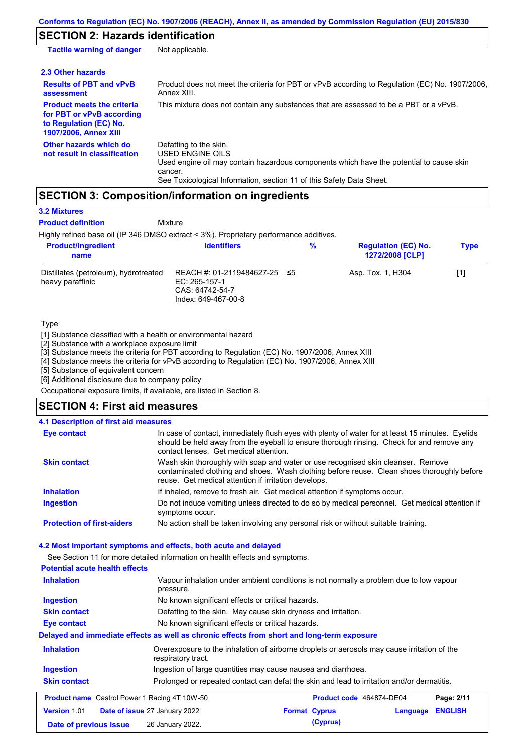### **SECTION 2: Hazards identification**

| <b>Tactile warning of danger</b>                                                                                         | Not applicable.                                                                                                                                                                                                          |
|--------------------------------------------------------------------------------------------------------------------------|--------------------------------------------------------------------------------------------------------------------------------------------------------------------------------------------------------------------------|
| 2.3 Other hazards                                                                                                        |                                                                                                                                                                                                                          |
| <b>Results of PBT and vPvB</b><br>assessment                                                                             | Product does not meet the criteria for PBT or vPvB according to Regulation (EC) No. 1907/2006,<br>Annex XIII.                                                                                                            |
| <b>Product meets the criteria</b><br>for PBT or vPvB according<br>to Regulation (EC) No.<br><b>1907/2006, Annex XIII</b> | This mixture does not contain any substances that are assessed to be a PBT or a vPvB.                                                                                                                                    |
| Other hazards which do<br>not result in classification                                                                   | Defatting to the skin.<br>USED ENGINE OILS<br>Used engine oil may contain hazardous components which have the potential to cause skin<br>cancer.<br>See Toxicological Information, section 11 of this Safety Data Sheet. |

# **SECTION 3: Composition/information on ingredients**

**Mixture** 

#### **3.2 Mixtures**

**Product definition**

Highly refined base oil (IP 346 DMSO extract < 3%). Proprietary performance additives.

| <b>Product/ingredient</b><br>name                         | <b>Identifiers</b>                                                                      | % | <b>Regulation (EC) No.</b><br><b>1272/2008 [CLP]</b> | <b>Type</b> |
|-----------------------------------------------------------|-----------------------------------------------------------------------------------------|---|------------------------------------------------------|-------------|
| Distillates (petroleum), hydrotreated<br>heavy paraffinic | REACH #: 01-2119484627-25 ≤5<br>EC: 265-157-1<br>CAS: 64742-54-7<br>Index: 649-467-00-8 |   | Asp. Tox. 1, H304                                    | [1]         |

#### **Type**

[1] Substance classified with a health or environmental hazard

[2] Substance with a workplace exposure limit

[3] Substance meets the criteria for PBT according to Regulation (EC) No. 1907/2006, Annex XIII

[4] Substance meets the criteria for vPvB according to Regulation (EC) No. 1907/2006, Annex XIII

[5] Substance of equivalent concern

[6] Additional disclosure due to company policy

Occupational exposure limits, if available, are listed in Section 8.

### **SECTION 4: First aid measures**

|  | 4.1 Description of first aid measures |  |  |
|--|---------------------------------------|--|--|
|--|---------------------------------------|--|--|

| <b>Eye contact</b>                | In case of contact, immediately flush eyes with plenty of water for at least 15 minutes. Eyelids<br>should be held away from the eyeball to ensure thorough rinsing. Check for and remove any<br>contact lenses. Get medical attention. |
|-----------------------------------|-----------------------------------------------------------------------------------------------------------------------------------------------------------------------------------------------------------------------------------------|
| <b>Skin contact</b>               | Wash skin thoroughly with soap and water or use recognised skin cleanser. Remove<br>contaminated clothing and shoes. Wash clothing before reuse. Clean shoes thoroughly before<br>reuse. Get medical attention if irritation develops.  |
| <b>Inhalation</b>                 | If inhaled, remove to fresh air. Get medical attention if symptoms occur.                                                                                                                                                               |
| <b>Ingestion</b>                  | Do not induce vomiting unless directed to do so by medical personnel. Get medical attention if<br>symptoms occur.                                                                                                                       |
| <b>Protection of first-aiders</b> | No action shall be taken involving any personal risk or without suitable training.                                                                                                                                                      |

#### **4.2 Most important symptoms and effects, both acute and delayed**

See Section 11 for more detailed information on health effects and symptoms.

**Potential acute health effects Inhalation** Vapour inhalation under ambient conditions is not normally a problem due to low vapour pressure. **Ingestion** No known significant effects or critical hazards. **Skin contact** Defatting to the skin. May cause skin dryness and irritation. **Eye contact** No known significant effects or critical hazards. **Delayed and immediate effects as well as chronic effects from short and long-term exposure Inhalation Ingestion Skin contact** Overexposure to the inhalation of airborne droplets or aerosols may cause irritation of the respiratory tract. Ingestion of large quantities may cause nausea and diarrhoea. Prolonged or repeated contact can defat the skin and lead to irritation and/or dermatitis. **Product name** Castrol Power 1 Racing 4T 10W-50 **Product Code 464874-DE04 Page: 2/11 Version** 1.01 **Date of issue** 27 January 2022 **Format Cyprus Language ENGLISH Date of previous issue (Cyprus)** 26 January 2022.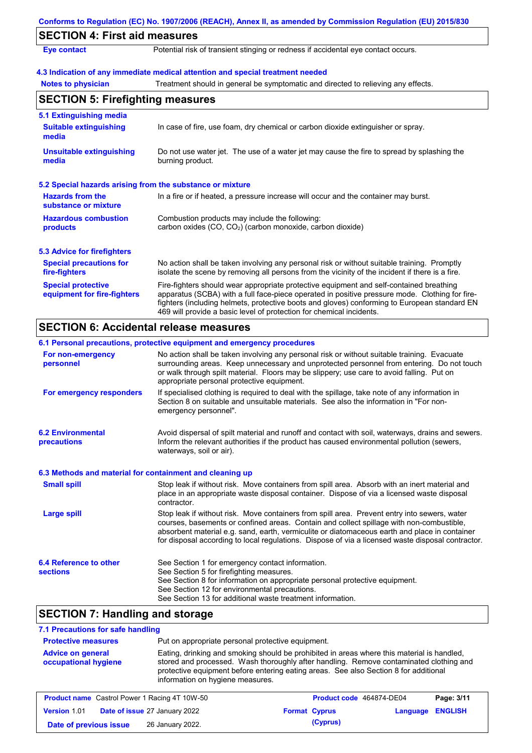| <b>SECTION 4: First aid measures</b>                      |                                                                                                                                                                                                                                                                                                                                                                   |
|-----------------------------------------------------------|-------------------------------------------------------------------------------------------------------------------------------------------------------------------------------------------------------------------------------------------------------------------------------------------------------------------------------------------------------------------|
| <b>Eye contact</b>                                        | Potential risk of transient stinging or redness if accidental eye contact occurs.                                                                                                                                                                                                                                                                                 |
|                                                           | 4.3 Indication of any immediate medical attention and special treatment needed                                                                                                                                                                                                                                                                                    |
| <b>Notes to physician</b>                                 | Treatment should in general be symptomatic and directed to relieving any effects.                                                                                                                                                                                                                                                                                 |
| <b>SECTION 5: Firefighting measures</b>                   |                                                                                                                                                                                                                                                                                                                                                                   |
| 5.1 Extinguishing media                                   |                                                                                                                                                                                                                                                                                                                                                                   |
| <b>Suitable extinguishing</b><br>media                    | In case of fire, use foam, dry chemical or carbon dioxide extinguisher or spray.                                                                                                                                                                                                                                                                                  |
| <b>Unsuitable extinguishing</b><br>media                  | Do not use water jet. The use of a water jet may cause the fire to spread by splashing the<br>burning product.                                                                                                                                                                                                                                                    |
| 5.2 Special hazards arising from the substance or mixture |                                                                                                                                                                                                                                                                                                                                                                   |
| <b>Hazards from the</b><br>substance or mixture           | In a fire or if heated, a pressure increase will occur and the container may burst.                                                                                                                                                                                                                                                                               |
| <b>Hazardous combustion</b>                               | Combustion products may include the following:                                                                                                                                                                                                                                                                                                                    |
| products                                                  | carbon oxides (CO, CO <sub>2</sub> ) (carbon monoxide, carbon dioxide)                                                                                                                                                                                                                                                                                            |
| <b>5.3 Advice for firefighters</b>                        |                                                                                                                                                                                                                                                                                                                                                                   |
| <b>Special precautions for</b><br>fire-fighters           | No action shall be taken involving any personal risk or without suitable training. Promptly<br>isolate the scene by removing all persons from the vicinity of the incident if there is a fire.                                                                                                                                                                    |
| <b>Special protective</b><br>equipment for fire-fighters  | Fire-fighters should wear appropriate protective equipment and self-contained breathing<br>apparatus (SCBA) with a full face-piece operated in positive pressure mode. Clothing for fire-<br>fighters (including helmets, protective boots and gloves) conforming to European standard EN<br>469 will provide a basic level of protection for chemical incidents. |

|                                                          | 6.1 Personal precautions, protective equipment and emergency procedures                                                                                                                                                                                                                                                                                                                        |
|----------------------------------------------------------|------------------------------------------------------------------------------------------------------------------------------------------------------------------------------------------------------------------------------------------------------------------------------------------------------------------------------------------------------------------------------------------------|
| For non-emergency<br>personnel                           | No action shall be taken involving any personal risk or without suitable training. Evacuate<br>surrounding areas. Keep unnecessary and unprotected personnel from entering. Do not touch<br>or walk through spilt material. Floors may be slippery; use care to avoid falling. Put on<br>appropriate personal protective equipment.                                                            |
| For emergency responders                                 | If specialised clothing is required to deal with the spillage, take note of any information in<br>Section 8 on suitable and unsuitable materials. See also the information in "For non-<br>emergency personnel".                                                                                                                                                                               |
| <b>6.2 Environmental</b><br><b>precautions</b>           | Avoid dispersal of spilt material and runoff and contact with soil, waterways, drains and sewers.<br>Inform the relevant authorities if the product has caused environmental pollution (sewers,<br>waterways, soil or air).                                                                                                                                                                    |
| 6.3 Methods and material for containment and cleaning up |                                                                                                                                                                                                                                                                                                                                                                                                |
| <b>Small spill</b>                                       | Stop leak if without risk. Move containers from spill area. Absorb with an inert material and<br>place in an appropriate waste disposal container. Dispose of via a licensed waste disposal<br>contractor.                                                                                                                                                                                     |
| <b>Large spill</b>                                       | Stop leak if without risk. Move containers from spill area. Prevent entry into sewers, water<br>courses, basements or confined areas. Contain and collect spillage with non-combustible,<br>absorbent material e.g. sand, earth, vermiculite or diatomaceous earth and place in container<br>for disposal according to local regulations. Dispose of via a licensed waste disposal contractor. |
| 6.4 Reference to other<br><b>sections</b>                | See Section 1 for emergency contact information.<br>See Section 5 for firefighting measures.<br>See Section 8 for information on appropriate personal protective equipment.<br>See Section 12 for environmental precautions.<br>See Section 13 for additional waste treatment information.                                                                                                     |

# **SECTION 7: Handling and storage**

# **7.1 Precautions for safe handling**

| <b>Protective measures</b>                       | Put on appropriate personal protective equipment.                                                                                                                                                                                                                                                                |
|--------------------------------------------------|------------------------------------------------------------------------------------------------------------------------------------------------------------------------------------------------------------------------------------------------------------------------------------------------------------------|
| <b>Advice on general</b><br>occupational hygiene | Eating, drinking and smoking should be prohibited in areas where this material is handled,<br>stored and processed. Wash thoroughly after handling. Remove contaminated clothing and<br>protective equipment before entering eating areas. See also Section 8 for additional<br>information on hygiene measures. |

| <b>Product name</b> Castrol Power 1 Racing 4T 10W-50 |  |                                      | Product code 464874-DE04<br>Page: 3/11 |                      |                  |  |
|------------------------------------------------------|--|--------------------------------------|----------------------------------------|----------------------|------------------|--|
| <b>Version 1.01</b>                                  |  | <b>Date of issue 27 January 2022</b> |                                        | <b>Format Cyprus</b> | Language ENGLISH |  |
| Date of previous issue                               |  | 26 January 2022.                     |                                        | (Cyprus)             |                  |  |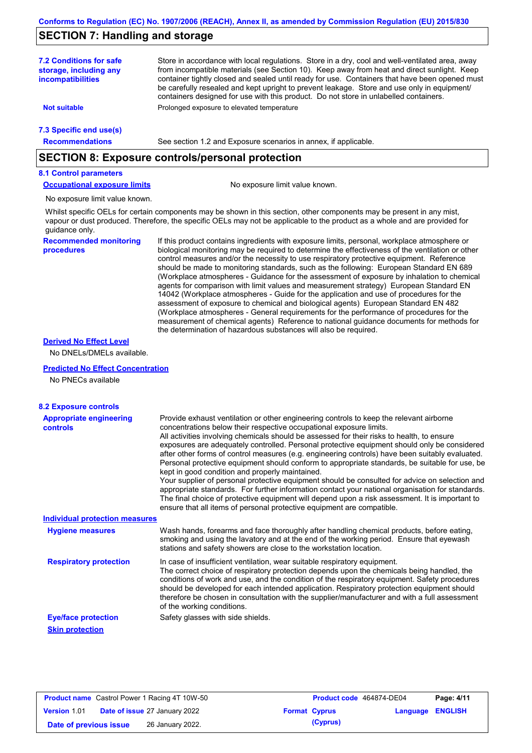### **SECTION 7: Handling and storage**

Store in accordance with local regulations. Store in a dry, cool and well-ventilated area, away from incompatible materials (see Section 10). Keep away from heat and direct sunlight. Keep container tightly closed and sealed until ready for use. Containers that have been opened must be carefully resealed and kept upright to prevent leakage. Store and use only in equipment/ containers designed for use with this product. Do not store in unlabelled containers. **7.2 Conditions for safe storage, including any incompatibilities 7.3 Specific end use(s) Recommendations Not suitable Not Prolonged** exposure to elevated temperature See section 1.2 and Exposure scenarios in annex, if applicable. **SECTION 8: Exposure controls/personal protection 8.1 Control parameters**

**Occupational exposure limits** No exposure limit value known.

No exposure limit value known.

Whilst specific OELs for certain components may be shown in this section, other components may be present in any mist, vapour or dust produced. Therefore, the specific OELs may not be applicable to the product as a whole and are provided for guidance only.

**Recommended monitoring procedures**

If this product contains ingredients with exposure limits, personal, workplace atmosphere or biological monitoring may be required to determine the effectiveness of the ventilation or other control measures and/or the necessity to use respiratory protective equipment. Reference should be made to monitoring standards, such as the following: European Standard EN 689 (Workplace atmospheres - Guidance for the assessment of exposure by inhalation to chemical agents for comparison with limit values and measurement strategy) European Standard EN 14042 (Workplace atmospheres - Guide for the application and use of procedures for the assessment of exposure to chemical and biological agents) European Standard EN 482 (Workplace atmospheres - General requirements for the performance of procedures for the measurement of chemical agents) Reference to national guidance documents for methods for the determination of hazardous substances will also be required.

#### **Derived No Effect Level**

No DNELs/DMELs available.

#### **Predicted No Effect Concentration**

No PNECs available

#### **8.2 Exposure controls**

| <b>Appropriate engineering</b><br><b>controls</b> | Provide exhaust ventilation or other engineering controls to keep the relevant airborne<br>concentrations below their respective occupational exposure limits.<br>All activities involving chemicals should be assessed for their risks to health, to ensure<br>exposures are adequately controlled. Personal protective equipment should only be considered<br>after other forms of control measures (e.g. engineering controls) have been suitably evaluated.<br>Personal protective equipment should conform to appropriate standards, be suitable for use, be<br>kept in good condition and properly maintained.<br>Your supplier of personal protective equipment should be consulted for advice on selection and<br>appropriate standards. For further information contact your national organisation for standards.<br>The final choice of protective equipment will depend upon a risk assessment. It is important to<br>ensure that all items of personal protective equipment are compatible. |
|---------------------------------------------------|---------------------------------------------------------------------------------------------------------------------------------------------------------------------------------------------------------------------------------------------------------------------------------------------------------------------------------------------------------------------------------------------------------------------------------------------------------------------------------------------------------------------------------------------------------------------------------------------------------------------------------------------------------------------------------------------------------------------------------------------------------------------------------------------------------------------------------------------------------------------------------------------------------------------------------------------------------------------------------------------------------|
| <b>Individual protection measures</b>             |                                                                                                                                                                                                                                                                                                                                                                                                                                                                                                                                                                                                                                                                                                                                                                                                                                                                                                                                                                                                         |
| <b>Hygiene measures</b>                           | Wash hands, forearms and face thoroughly after handling chemical products, before eating,<br>smoking and using the lavatory and at the end of the working period. Ensure that eyewash<br>stations and safety showers are close to the workstation location.                                                                                                                                                                                                                                                                                                                                                                                                                                                                                                                                                                                                                                                                                                                                             |
| <b>Respiratory protection</b>                     | In case of insufficient ventilation, wear suitable respiratory equipment.<br>The correct choice of respiratory protection depends upon the chemicals being handled, the<br>conditions of work and use, and the condition of the respiratory equipment. Safety procedures<br>should be developed for each intended application. Respiratory protection equipment should<br>therefore be chosen in consultation with the supplier/manufacturer and with a full assessment<br>of the working conditions.                                                                                                                                                                                                                                                                                                                                                                                                                                                                                                   |
| <b>Eye/face protection</b>                        | Safety glasses with side shields.                                                                                                                                                                                                                                                                                                                                                                                                                                                                                                                                                                                                                                                                                                                                                                                                                                                                                                                                                                       |
| <b>Skin protection</b>                            |                                                                                                                                                                                                                                                                                                                                                                                                                                                                                                                                                                                                                                                                                                                                                                                                                                                                                                                                                                                                         |

| <b>Product name</b> Castrol Power 1 Racing 4T 10W-50 |  | Product code 464874-DE04             |                      | Page: 4/11 |                  |  |
|------------------------------------------------------|--|--------------------------------------|----------------------|------------|------------------|--|
| <b>Version 1.01</b>                                  |  | <b>Date of issue 27 January 2022</b> | <b>Format Cyprus</b> |            | Language ENGLISH |  |
| Date of previous issue                               |  | 26 January 2022.                     |                      | (Cyprus)   |                  |  |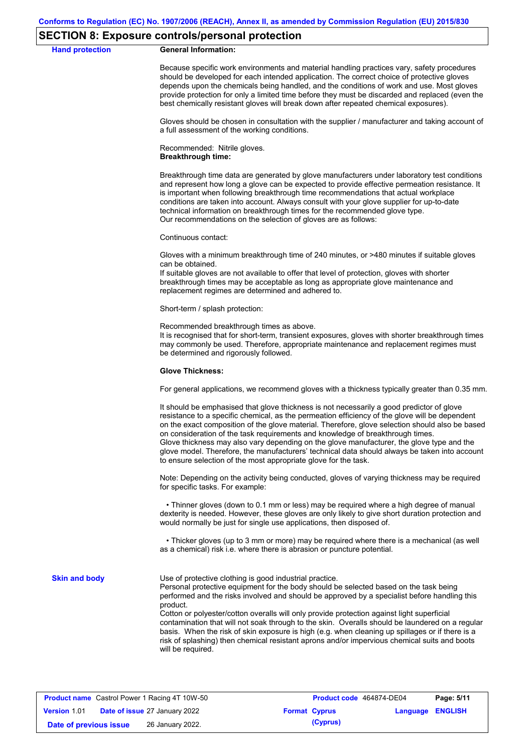#### **SECTION 8: Exposure controls/personal protection**

#### **Hand protection General Information:**

Because specific work environments and material handling practices vary, safety procedures should be developed for each intended application. The correct choice of protective gloves depends upon the chemicals being handled, and the conditions of work and use. Most gloves provide protection for only a limited time before they must be discarded and replaced (even the best chemically resistant gloves will break down after repeated chemical exposures).

Gloves should be chosen in consultation with the supplier / manufacturer and taking account of a full assessment of the working conditions.

Recommended: Nitrile gloves. **Breakthrough time:**

Breakthrough time data are generated by glove manufacturers under laboratory test conditions and represent how long a glove can be expected to provide effective permeation resistance. It is important when following breakthrough time recommendations that actual workplace conditions are taken into account. Always consult with your glove supplier for up-to-date technical information on breakthrough times for the recommended glove type. Our recommendations on the selection of gloves are as follows:

Continuous contact:

Gloves with a minimum breakthrough time of 240 minutes, or >480 minutes if suitable gloves can be obtained.

If suitable gloves are not available to offer that level of protection, gloves with shorter breakthrough times may be acceptable as long as appropriate glove maintenance and replacement regimes are determined and adhered to.

Short-term / splash protection:

Recommended breakthrough times as above.

It is recognised that for short-term, transient exposures, gloves with shorter breakthrough times may commonly be used. Therefore, appropriate maintenance and replacement regimes must be determined and rigorously followed.

#### **Glove Thickness:**

For general applications, we recommend gloves with a thickness typically greater than 0.35 mm.

It should be emphasised that glove thickness is not necessarily a good predictor of glove resistance to a specific chemical, as the permeation efficiency of the glove will be dependent on the exact composition of the glove material. Therefore, glove selection should also be based on consideration of the task requirements and knowledge of breakthrough times. Glove thickness may also vary depending on the glove manufacturer, the glove type and the glove model. Therefore, the manufacturers' technical data should always be taken into account to ensure selection of the most appropriate glove for the task.

Note: Depending on the activity being conducted, gloves of varying thickness may be required for specific tasks. For example:

 • Thinner gloves (down to 0.1 mm or less) may be required where a high degree of manual dexterity is needed. However, these gloves are only likely to give short duration protection and would normally be just for single use applications, then disposed of.

 • Thicker gloves (up to 3 mm or more) may be required where there is a mechanical (as well as a chemical) risk i.e. where there is abrasion or puncture potential.

**Skin and body**

Use of protective clothing is good industrial practice.

Personal protective equipment for the body should be selected based on the task being performed and the risks involved and should be approved by a specialist before handling this product.

Cotton or polyester/cotton overalls will only provide protection against light superficial contamination that will not soak through to the skin. Overalls should be laundered on a regular basis. When the risk of skin exposure is high (e.g. when cleaning up spillages or if there is a risk of splashing) then chemical resistant aprons and/or impervious chemical suits and boots will be required.

| <b>Product name</b> Castrol Power 1 Racing 4T 10W-50 |  | Product code 464874-DE04             |  | Page: 5/11           |                         |  |
|------------------------------------------------------|--|--------------------------------------|--|----------------------|-------------------------|--|
| <b>Version 1.01</b>                                  |  | <b>Date of issue 27 January 2022</b> |  | <b>Format Cyprus</b> | <b>Language ENGLISH</b> |  |
| Date of previous issue                               |  | 26 January 2022.                     |  | (Cyprus)             |                         |  |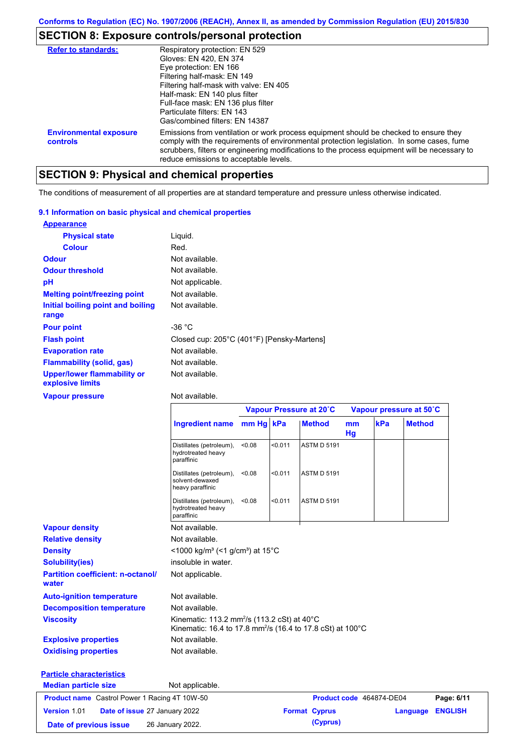# **SECTION 8: Exposure controls/personal protection**

| <b>Refer to standards:</b>                | Respiratory protection: EN 529<br>Gloves: EN 420, EN 374<br>Eye protection: EN 166<br>Filtering half-mask: EN 149<br>Filtering half-mask with valve: EN 405<br>Half-mask: EN 140 plus filter                                                                                                                                  |
|-------------------------------------------|-------------------------------------------------------------------------------------------------------------------------------------------------------------------------------------------------------------------------------------------------------------------------------------------------------------------------------|
|                                           | Full-face mask: EN 136 plus filter<br>Particulate filters: EN 143<br>Gas/combined filters: EN 14387                                                                                                                                                                                                                           |
| <b>Environmental exposure</b><br>controls | Emissions from ventilation or work process equipment should be checked to ensure they<br>comply with the requirements of environmental protection legislation. In some cases, fume<br>scrubbers, filters or engineering modifications to the process equipment will be necessary to<br>reduce emissions to acceptable levels. |

# **SECTION 9: Physical and chemical properties**

The conditions of measurement of all properties are at standard temperature and pressure unless otherwise indicated.

| 9.1 Information on basic physical and chemical properties |                                            |
|-----------------------------------------------------------|--------------------------------------------|
| <b>Appearance</b>                                         |                                            |
| <b>Physical state</b>                                     | Liguid.                                    |
| <b>Colour</b>                                             | Red.                                       |
| <b>Odour</b>                                              | Not available.                             |
| <b>Odour threshold</b>                                    | Not available.                             |
| рH                                                        | Not applicable.                            |
| <b>Melting point/freezing point</b>                       | Not available.                             |
| Initial boiling point and boiling<br>range                | Not available.                             |
| <b>Pour point</b>                                         | -36 $^{\circ}$ C                           |
| <b>Flash point</b>                                        | Closed cup: 205°C (401°F) [Pensky-Martens] |
| <b>Evaporation rate</b>                                   | Not available.                             |
| <b>Flammability (solid, gas)</b>                          | Not available.                             |
| <b>Upper/lower flammability or</b><br>explosive limits    | Not available.                             |

#### **Vapour pressure**

Not available.

|                                                      |                                                                                                                                              | Vapour Pressure at 20°C |         |                      | Vapour pressure at 50°C |                          |               |                |
|------------------------------------------------------|----------------------------------------------------------------------------------------------------------------------------------------------|-------------------------|---------|----------------------|-------------------------|--------------------------|---------------|----------------|
|                                                      | <b>Ingredient name</b>                                                                                                                       | mm Hg kPa               |         | <b>Method</b>        | mm<br>Hg                | kPa                      | <b>Method</b> |                |
|                                                      | Distillates (petroleum),<br>hydrotreated heavy<br>paraffinic                                                                                 | < 0.08                  | < 0.011 | <b>ASTM D 5191</b>   |                         |                          |               |                |
|                                                      | Distillates (petroleum),<br>solvent-dewaxed<br>heavy paraffinic                                                                              | < 0.08                  | < 0.011 | <b>ASTM D 5191</b>   |                         |                          |               |                |
|                                                      | Distillates (petroleum),<br>hydrotreated heavy<br>paraffinic                                                                                 | < 0.08                  | < 0.011 | <b>ASTM D 5191</b>   |                         |                          |               |                |
| <b>Vapour density</b>                                | Not available.                                                                                                                               |                         |         |                      |                         |                          |               |                |
| <b>Relative density</b>                              | Not available.                                                                                                                               |                         |         |                      |                         |                          |               |                |
| <b>Density</b>                                       | $<$ 1000 kg/m <sup>3</sup> (<1 g/cm <sup>3</sup> ) at 15 <sup>°</sup> C                                                                      |                         |         |                      |                         |                          |               |                |
| <b>Solubility(ies)</b>                               | insoluble in water.                                                                                                                          |                         |         |                      |                         |                          |               |                |
| <b>Partition coefficient: n-octanol/</b><br>water    | Not applicable.                                                                                                                              |                         |         |                      |                         |                          |               |                |
| <b>Auto-ignition temperature</b>                     | Not available.                                                                                                                               |                         |         |                      |                         |                          |               |                |
| <b>Decomposition temperature</b>                     | Not available.                                                                                                                               |                         |         |                      |                         |                          |               |                |
| <b>Viscosity</b>                                     | Kinematic: 113.2 mm <sup>2</sup> /s (113.2 cSt) at 40 $\degree$ C<br>Kinematic: 16.4 to 17.8 mm <sup>2</sup> /s (16.4 to 17.8 cSt) at 100 °C |                         |         |                      |                         |                          |               |                |
| <b>Explosive properties</b>                          | Not available.                                                                                                                               |                         |         |                      |                         |                          |               |                |
| <b>Oxidising properties</b>                          | Not available.                                                                                                                               |                         |         |                      |                         |                          |               |                |
| <b>Particle characteristics</b>                      |                                                                                                                                              |                         |         |                      |                         |                          |               |                |
| <b>Median particle size</b>                          | Not applicable.                                                                                                                              |                         |         |                      |                         |                          |               |                |
| <b>Product name</b> Castrol Power 1 Racing 4T 10W-50 |                                                                                                                                              |                         |         |                      |                         | Product code 464874-DE04 |               | Page: 6/11     |
| Version 1.01<br>Date of issue 27 January 2022        |                                                                                                                                              |                         |         | <b>Format Cyprus</b> |                         |                          | Language      | <b>ENGLISH</b> |
| 26 January 2022.<br>Date of previous issue           |                                                                                                                                              |                         |         | (Cyprus)             |                         |                          |               |                |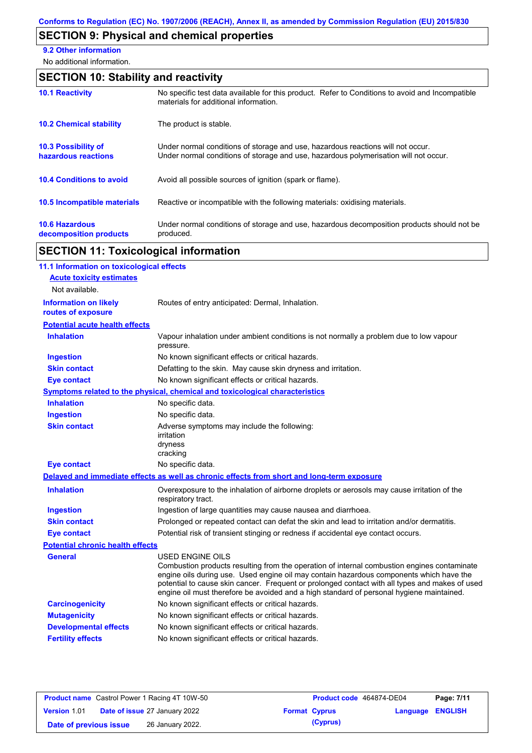# **SECTION 9: Physical and chemical properties**

**9.2 Other information**

No additional information.

# **SECTION 10: Stability and reactivity**

| <b>10.1 Reactivity</b>                            | No specific test data available for this product. Refer to Conditions to avoid and Incompatible<br>materials for additional information.                                |
|---------------------------------------------------|-------------------------------------------------------------------------------------------------------------------------------------------------------------------------|
| <b>10.2 Chemical stability</b>                    | The product is stable.                                                                                                                                                  |
| <b>10.3 Possibility of</b><br>hazardous reactions | Under normal conditions of storage and use, hazardous reactions will not occur.<br>Under normal conditions of storage and use, hazardous polymerisation will not occur. |
| <b>10.4 Conditions to avoid</b>                   | Avoid all possible sources of ignition (spark or flame).                                                                                                                |
| <b>10.5 Incompatible materials</b>                | Reactive or incompatible with the following materials: oxidising materials.                                                                                             |
| <b>10.6 Hazardous</b><br>decomposition products   | Under normal conditions of storage and use, hazardous decomposition products should not be<br>produced.                                                                 |

# **SECTION 11: Toxicological information**

| 11.1 Information on toxicological effects          |                                                                                                                                                                                                                                                                                                                                                                                                                 |
|----------------------------------------------------|-----------------------------------------------------------------------------------------------------------------------------------------------------------------------------------------------------------------------------------------------------------------------------------------------------------------------------------------------------------------------------------------------------------------|
| <b>Acute toxicity estimates</b>                    |                                                                                                                                                                                                                                                                                                                                                                                                                 |
| Not available.                                     |                                                                                                                                                                                                                                                                                                                                                                                                                 |
| <b>Information on likely</b><br>routes of exposure | Routes of entry anticipated: Dermal, Inhalation.                                                                                                                                                                                                                                                                                                                                                                |
| <b>Potential acute health effects</b>              |                                                                                                                                                                                                                                                                                                                                                                                                                 |
| <b>Inhalation</b>                                  | Vapour inhalation under ambient conditions is not normally a problem due to low vapour<br>pressure.                                                                                                                                                                                                                                                                                                             |
| <b>Ingestion</b>                                   | No known significant effects or critical hazards.                                                                                                                                                                                                                                                                                                                                                               |
| <b>Skin contact</b>                                | Defatting to the skin. May cause skin dryness and irritation.                                                                                                                                                                                                                                                                                                                                                   |
| <b>Eye contact</b>                                 | No known significant effects or critical hazards.                                                                                                                                                                                                                                                                                                                                                               |
|                                                    | Symptoms related to the physical, chemical and toxicological characteristics                                                                                                                                                                                                                                                                                                                                    |
| <b>Inhalation</b>                                  | No specific data.                                                                                                                                                                                                                                                                                                                                                                                               |
| <b>Ingestion</b>                                   | No specific data.                                                                                                                                                                                                                                                                                                                                                                                               |
| <b>Skin contact</b>                                | Adverse symptoms may include the following:<br>irritation<br>dryness<br>cracking                                                                                                                                                                                                                                                                                                                                |
| <b>Eye contact</b>                                 | No specific data.                                                                                                                                                                                                                                                                                                                                                                                               |
|                                                    | Delayed and immediate effects as well as chronic effects from short and long-term exposure                                                                                                                                                                                                                                                                                                                      |
| <b>Inhalation</b>                                  | Overexposure to the inhalation of airborne droplets or aerosols may cause irritation of the<br>respiratory tract.                                                                                                                                                                                                                                                                                               |
| <b>Ingestion</b>                                   | Ingestion of large quantities may cause nausea and diarrhoea.                                                                                                                                                                                                                                                                                                                                                   |
| <b>Skin contact</b>                                | Prolonged or repeated contact can defat the skin and lead to irritation and/or dermatitis.                                                                                                                                                                                                                                                                                                                      |
| <b>Eye contact</b>                                 | Potential risk of transient stinging or redness if accidental eye contact occurs.                                                                                                                                                                                                                                                                                                                               |
| <b>Potential chronic health effects</b>            |                                                                                                                                                                                                                                                                                                                                                                                                                 |
| <b>General</b>                                     | <b>USED ENGINE OILS</b><br>Combustion products resulting from the operation of internal combustion engines contaminate<br>engine oils during use. Used engine oil may contain hazardous components which have the<br>potential to cause skin cancer. Frequent or prolonged contact with all types and makes of used<br>engine oil must therefore be avoided and a high standard of personal hygiene maintained. |
| <b>Carcinogenicity</b>                             | No known significant effects or critical hazards.                                                                                                                                                                                                                                                                                                                                                               |
| <b>Mutagenicity</b>                                | No known significant effects or critical hazards.                                                                                                                                                                                                                                                                                                                                                               |
| <b>Developmental effects</b>                       | No known significant effects or critical hazards.                                                                                                                                                                                                                                                                                                                                                               |
| <b>Fertility effects</b>                           | No known significant effects or critical hazards.                                                                                                                                                                                                                                                                                                                                                               |
|                                                    |                                                                                                                                                                                                                                                                                                                                                                                                                 |

| <b>Product name</b> Castrol Power 1 Racing 4T 10W-50 |  | Product code 464874-DE04             |  | Page: 7/11           |                         |  |
|------------------------------------------------------|--|--------------------------------------|--|----------------------|-------------------------|--|
| <b>Version 1.01</b>                                  |  | <b>Date of issue 27 January 2022</b> |  | <b>Format Cyprus</b> | <b>Language ENGLISH</b> |  |
| Date of previous issue                               |  | 26 January 2022.                     |  | (Cyprus)             |                         |  |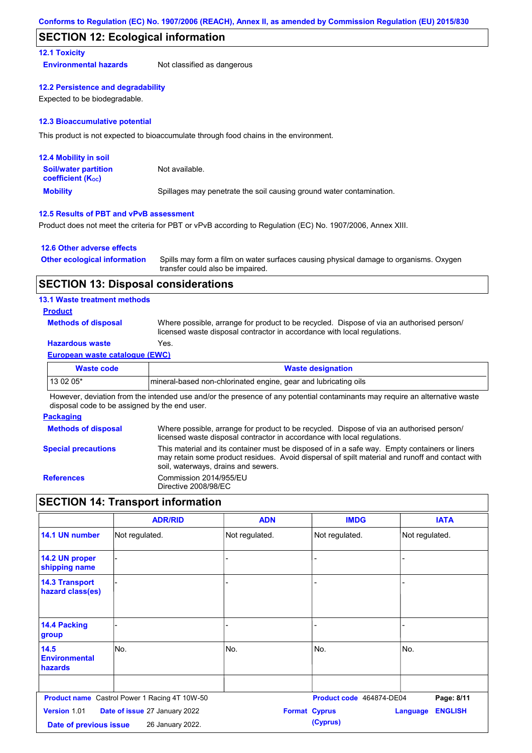### **SECTION 12: Ecological information**

#### **12.1 Toxicity**

**Environmental hazards** Not classified as dangerous

#### **12.2 Persistence and degradability**

Expected to be biodegradable.

#### **12.3 Bioaccumulative potential**

This product is not expected to bioaccumulate through food chains in the environment.

| <b>12.4 Mobility in soil</b>                                  |                                                                      |
|---------------------------------------------------------------|----------------------------------------------------------------------|
| <b>Soil/water partition</b><br>coefficient (K <sub>oc</sub> ) | Not available.                                                       |
| <b>Mobility</b>                                               | Spillages may penetrate the soil causing ground water contamination. |

#### **12.5 Results of PBT and vPvB assessment**

Product does not meet the criteria for PBT or vPvB according to Regulation (EC) No. 1907/2006, Annex XIII.

#### **12.6 Other adverse effects**

| <b>Other ecological information</b> | Spills may form a film on water surfaces causing physical damage to organisms. Oxygen |
|-------------------------------------|---------------------------------------------------------------------------------------|
|                                     | transfer could also be impaired.                                                      |

### **SECTION 13: Disposal considerations**

#### **13.1 Waste treatment methods**

#### **Product**

**Methods of disposal**

Where possible, arrange for product to be recycled. Dispose of via an authorised person/ licensed waste disposal contractor in accordance with local regulations.

### **Hazardous waste** Yes.

#### **European waste catalogue (EWC)**

| Waste code | <b>Waste designation</b>                                         |
|------------|------------------------------------------------------------------|
| $130205*$  | Imineral-based non-chlorinated engine, gear and lubricating oils |

However, deviation from the intended use and/or the presence of any potential contaminants may require an alternative waste disposal code to be assigned by the end user.

#### **Packaging**

| <b>Methods of disposal</b> | Where possible, arrange for product to be recycled. Dispose of via an authorised person/<br>licensed waste disposal contractor in accordance with local regulations.                                                                    |
|----------------------------|-----------------------------------------------------------------------------------------------------------------------------------------------------------------------------------------------------------------------------------------|
| <b>Special precautions</b> | This material and its container must be disposed of in a safe way. Empty containers or liners<br>may retain some product residues. Avoid dispersal of spilt material and runoff and contact with<br>soil, waterways, drains and sewers. |
| <b>References</b>          | Commission 2014/955/EU<br>Directive 2008/98/EC                                                                                                                                                                                          |

## **SECTION 14: Transport information**

|                                           | <b>ADR/RID</b>                                       | <b>ADN</b>     | <b>IMDG</b>                      | <b>IATA</b>                       |
|-------------------------------------------|------------------------------------------------------|----------------|----------------------------------|-----------------------------------|
| 14.1 UN number                            | Not regulated.                                       | Not regulated. | Not regulated.                   | Not regulated.                    |
| 14.2 UN proper<br>shipping name           |                                                      |                |                                  |                                   |
| <b>14.3 Transport</b><br>hazard class(es) |                                                      |                |                                  |                                   |
| 14.4 Packing<br>group                     |                                                      |                |                                  |                                   |
| 14.5<br><b>Environmental</b><br>hazards   | No.                                                  | No.            | No.                              | No.                               |
|                                           | <b>Product name</b> Castrol Power 1 Racing 4T 10W-50 |                | Product code 464874-DE04         | Page: 8/11                        |
| Version 1.01<br>Date of previous issue    | Date of issue 27 January 2022<br>26 January 2022.    |                | <b>Format Cyprus</b><br>(Cyprus) | <b>ENGLISH</b><br><b>Language</b> |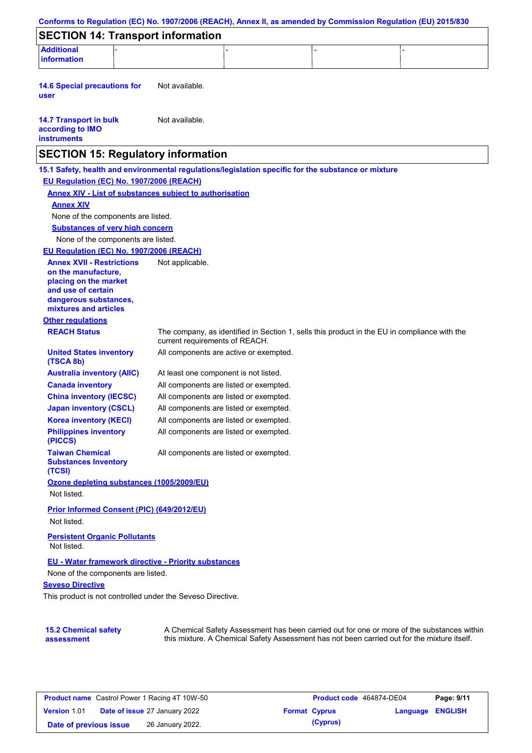| <b>Additional</b><br><b>information</b>                                                             |                                       |                                        |                                                                                              |
|-----------------------------------------------------------------------------------------------------|---------------------------------------|----------------------------------------|----------------------------------------------------------------------------------------------|
|                                                                                                     |                                       |                                        |                                                                                              |
| <b>14.6 Special precautions for</b><br>user                                                         | Not available.                        |                                        |                                                                                              |
| <b>14.7 Transport in bulk</b><br>according to IMO<br><b>instruments</b>                             | Not available.                        |                                        |                                                                                              |
| <b>SECTION 15: Regulatory information</b>                                                           |                                       |                                        |                                                                                              |
| 15.1 Safety, health and environmental regulations/legislation specific for the substance or mixture |                                       |                                        |                                                                                              |
| EU Regulation (EC) No. 1907/2006 (REACH)                                                            |                                       |                                        |                                                                                              |
| <b>Annex XIV - List of substances subject to authorisation</b><br><b>Annex XIV</b>                  |                                       |                                        |                                                                                              |
| None of the components are listed.                                                                  |                                       |                                        |                                                                                              |
| <b>Substances of very high concern</b>                                                              |                                       |                                        |                                                                                              |
| None of the components are listed.                                                                  |                                       |                                        |                                                                                              |
| EU Regulation (EC) No. 1907/2006 (REACH)                                                            |                                       |                                        |                                                                                              |
| <b>Annex XVII - Restrictions</b>                                                                    | Not applicable.                       |                                        |                                                                                              |
| on the manufacture.<br>placing on the market                                                        |                                       |                                        |                                                                                              |
| and use of certain<br>dangerous substances,<br>mixtures and articles                                |                                       |                                        |                                                                                              |
| <b>Other regulations</b>                                                                            |                                       |                                        |                                                                                              |
| <b>REACH Status</b>                                                                                 | current requirements of REACH.        |                                        | The company, as identified in Section 1, sells this product in the EU in compliance with the |
| <b>United States inventory</b><br>(TSCA 8b)                                                         |                                       | All components are active or exempted. |                                                                                              |
| <b>Australia inventory (AIIC)</b>                                                                   | At least one component is not listed. |                                        |                                                                                              |
| <b>Canada inventory</b>                                                                             |                                       | All components are listed or exempted. |                                                                                              |
| <b>China inventory (IECSC)</b>                                                                      |                                       | All components are listed or exempted. |                                                                                              |
| <b>Japan inventory (CSCL)</b>                                                                       |                                       | All components are listed or exempted. |                                                                                              |
| <b>Korea inventory (KECI)</b>                                                                       |                                       | All components are listed or exempted. |                                                                                              |
| <b>Philippines inventory</b><br>(PICCS)                                                             |                                       | All components are listed or exempted. |                                                                                              |
| <b>Taiwan Chemical</b><br><b>Substances Inventory</b><br>(TCSI)                                     |                                       | All components are listed or exempted. |                                                                                              |
| Ozone depleting substances (1005/2009/EU)<br>Not listed.                                            |                                       |                                        |                                                                                              |
| Prior Informed Consent (PIC) (649/2012/EU)<br>Not listed.                                           |                                       |                                        |                                                                                              |
| <b>Persistent Organic Pollutants</b><br>Not listed.                                                 |                                       |                                        |                                                                                              |
| EU - Water framework directive - Priority substances                                                |                                       |                                        |                                                                                              |
| None of the components are listed.<br><b>Seveso Directive</b>                                       |                                       |                                        |                                                                                              |
| This product is not controlled under the Seveso Directive.                                          |                                       |                                        |                                                                                              |

| <b>Product name</b> Castrol Power 1 Racing 4T 10W-50 |  | Product code 464874-DE04             |  | Page: 9/11           |                  |  |
|------------------------------------------------------|--|--------------------------------------|--|----------------------|------------------|--|
| <b>Version 1.01</b>                                  |  | <b>Date of issue 27 January 2022</b> |  | <b>Format Cyprus</b> | Language ENGLISH |  |
| Date of previous issue                               |  | 26 January 2022.                     |  | (Cyprus)             |                  |  |

this mixture. A Chemical Safety Assessment has not been carried out for the mixture itself.

**assessment**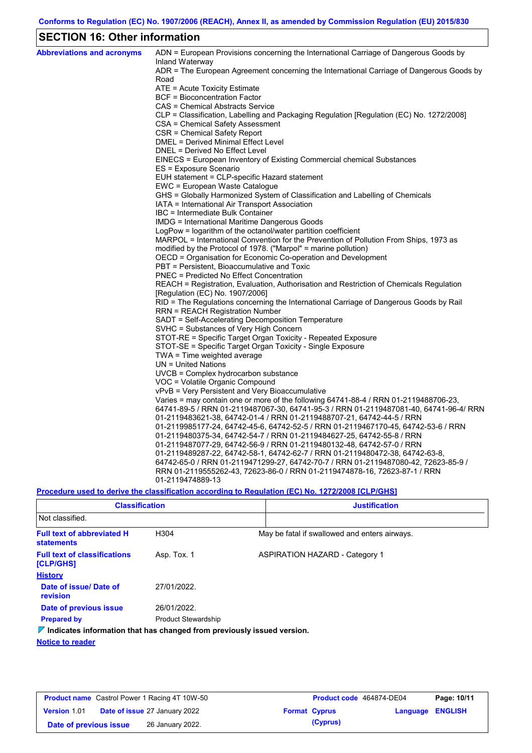# **SECTION 16: Other information**

| <b>Abbreviations and acronyms</b> | ADN = European Provisions concerning the International Carriage of Dangerous Goods by<br>Inland Waterway |
|-----------------------------------|----------------------------------------------------------------------------------------------------------|
|                                   | ADR = The European Agreement concerning the International Carriage of Dangerous Goods by<br>Road         |
|                                   | ATE = Acute Toxicity Estimate                                                                            |
|                                   | <b>BCF</b> = Bioconcentration Factor                                                                     |
|                                   | CAS = Chemical Abstracts Service                                                                         |
|                                   | CLP = Classification, Labelling and Packaging Regulation [Regulation (EC) No. 1272/2008]                 |
|                                   | CSA = Chemical Safety Assessment                                                                         |
|                                   | CSR = Chemical Safety Report                                                                             |
|                                   | <b>DMEL = Derived Minimal Effect Level</b>                                                               |
|                                   | DNEL = Derived No Effect Level                                                                           |
|                                   | EINECS = European Inventory of Existing Commercial chemical Substances                                   |
|                                   | ES = Exposure Scenario                                                                                   |
|                                   | EUH statement = CLP-specific Hazard statement                                                            |
|                                   | EWC = European Waste Catalogue                                                                           |
|                                   | GHS = Globally Harmonized System of Classification and Labelling of Chemicals                            |
|                                   | IATA = International Air Transport Association                                                           |
|                                   | IBC = Intermediate Bulk Container                                                                        |
|                                   | IMDG = International Maritime Dangerous Goods                                                            |
|                                   | LogPow = logarithm of the octanol/water partition coefficient                                            |
|                                   | MARPOL = International Convention for the Prevention of Pollution From Ships, 1973 as                    |
|                                   | modified by the Protocol of 1978. ("Marpol" = marine pollution)                                          |
|                                   | OECD = Organisation for Economic Co-operation and Development                                            |
|                                   | PBT = Persistent, Bioaccumulative and Toxic                                                              |
|                                   | <b>PNEC</b> = Predicted No Effect Concentration                                                          |
|                                   | REACH = Registration, Evaluation, Authorisation and Restriction of Chemicals Regulation                  |
|                                   | [Regulation (EC) No. 1907/2006]                                                                          |
|                                   | RID = The Regulations concerning the International Carriage of Dangerous Goods by Rail                   |
|                                   | <b>RRN = REACH Registration Number</b><br>SADT = Self-Accelerating Decomposition Temperature             |
|                                   | SVHC = Substances of Very High Concern                                                                   |
|                                   | STOT-RE = Specific Target Organ Toxicity - Repeated Exposure                                             |
|                                   | STOT-SE = Specific Target Organ Toxicity - Single Exposure                                               |
|                                   | TWA = Time weighted average                                                                              |
|                                   | $UN = United Nations$                                                                                    |
|                                   | $UVCB = Complex\;hydrocarbon\; substance$                                                                |
|                                   | VOC = Volatile Organic Compound                                                                          |
|                                   | vPvB = Very Persistent and Very Bioaccumulative                                                          |
|                                   | Varies = may contain one or more of the following $64741-88-4$ / RRN 01-2119488706-23,                   |
|                                   | 64741-89-5 / RRN 01-2119487067-30, 64741-95-3 / RRN 01-2119487081-40, 64741-96-4/ RRN                    |
|                                   | 01-2119483621-38, 64742-01-4 / RRN 01-2119488707-21, 64742-44-5 / RRN                                    |
|                                   | 01-2119985177-24, 64742-45-6, 64742-52-5 / RRN 01-2119467170-45, 64742-53-6 / RRN                        |
|                                   | 01-2119480375-34, 64742-54-7 / RRN 01-2119484627-25, 64742-55-8 / RRN                                    |
|                                   | 01-2119487077-29, 64742-56-9 / RRN 01-2119480132-48, 64742-57-0 / RRN                                    |
|                                   | 01-2119489287-22, 64742-58-1, 64742-62-7 / RRN 01-2119480472-38, 64742-63-8,                             |
|                                   | 64742-65-0 / RRN 01-2119471299-27, 64742-70-7 / RRN 01-2119487080-42, 72623-85-9 /                       |
|                                   | RRN 01-2119555262-43, 72623-86-0 / RRN 01-2119474878-16, 72623-87-1 / RRN                                |
|                                   | 01-2119474889-13                                                                                         |
|                                   |                                                                                                          |

**Procedure used to derive the classification according to Regulation (EC) No. 1272/2008 [CLP/GHS]**

| <b>Classification</b>                                                                  |                            | <b>Justification</b>                          |  |  |  |  |
|----------------------------------------------------------------------------------------|----------------------------|-----------------------------------------------|--|--|--|--|
| Not classified.                                                                        |                            |                                               |  |  |  |  |
| <b>Full text of abbreviated H</b><br><b>statements</b>                                 | H304                       | May be fatal if swallowed and enters airways. |  |  |  |  |
| <b>Full text of classifications</b><br>[CLP/GHS]                                       | Asp. Tox. 1                | <b>ASPIRATION HAZARD - Category 1</b>         |  |  |  |  |
| <b>History</b>                                                                         |                            |                                               |  |  |  |  |
| Date of issue/Date of<br>revision                                                      | 27/01/2022.                |                                               |  |  |  |  |
| Date of previous issue                                                                 | 26/01/2022.                |                                               |  |  |  |  |
| <b>Prepared by</b>                                                                     | <b>Product Stewardship</b> |                                               |  |  |  |  |
| $\triangledown$ Indicates information that has changed from previously issued version. |                            |                                               |  |  |  |  |

**Notice to reader**

| <b>Product name</b> Castrol Power 1 Racing 4T 10W-50 |  | <b>Product code</b> 464874-DE04      |  | Page: 10/11          |                  |  |
|------------------------------------------------------|--|--------------------------------------|--|----------------------|------------------|--|
| <b>Version 1.01</b>                                  |  | <b>Date of issue 27 January 2022</b> |  | <b>Format Cyprus</b> | Language ENGLISH |  |
| Date of previous issue                               |  | 26 January 2022.                     |  | (Cyprus)             |                  |  |